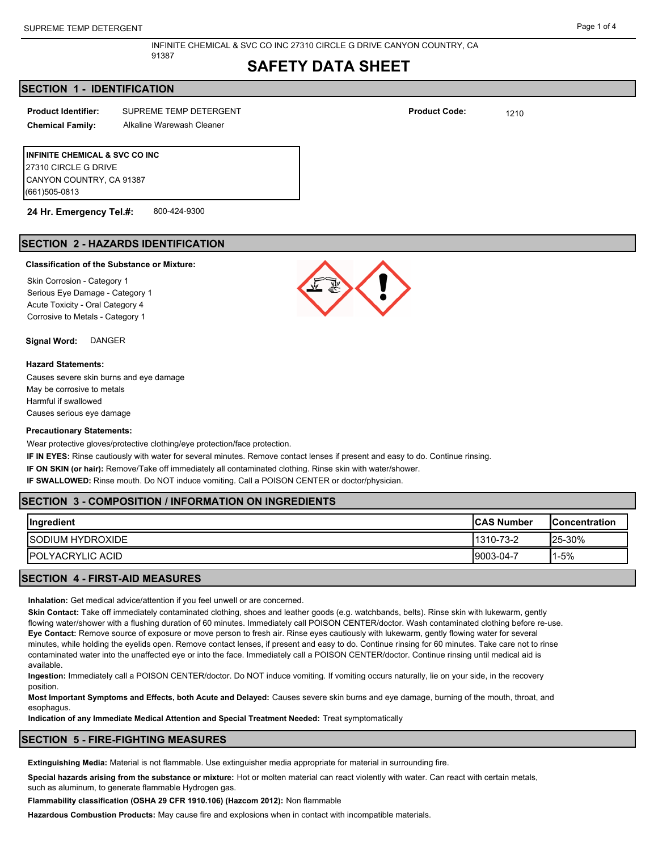# **SAFETY DATA SHEET**

### **SECTION 1 - IDENTIFICATION**

| <b>Product Identifier:</b> | SUPREME TEMP DETERGENT | <b>Product Code:</b> | 1210 |
|----------------------------|------------------------|----------------------|------|
|                            |                        |                      |      |

91387

**Chemical Family:** Alkaline Warewash Cleaner

**INFINITE CHEMICAL & SVC CO INC** 27310 CIRCLE G DRIVE CANYON COUNTRY, CA 91387 (661)505-0813

**24 Hr. Emergency Tel.#:** 800-424-9300

# **SECTION 2 - HAZARDS IDENTIFICATION**

### **Classification of the Substance or Mixture:**

Skin Corrosion - Category 1 Serious Eye Damage - Category 1 Acute Toxicity - Oral Category 4 Corrosive to Metals - Category 1

**Signal Word:** DANGER

#### **Hazard Statements:**

Causes severe skin burns and eye damage May be corrosive to metals Harmful if swallowed Causes serious eye damage

#### **Precautionary Statements:**

Wear protective gloves/protective clothing/eye protection/face protection.

**IF IN EYES:** Rinse cautiously with water for several minutes. Remove contact lenses if present and easy to do. Continue rinsing.

**IF ON SKIN (or hair):** Remove/Take off immediately all contaminated clothing. Rinse skin with water/shower.

**IF SWALLOWED:** Rinse mouth. Do NOT induce vomiting. Call a POISON CENTER or doctor/physician.

## **SECTION 3 - COMPOSITION / INFORMATION ON INGREDIENTS**

| <b>ISODIUM HYDROXIDE</b><br>$125 - 30%$<br>1310-73-2 | Ingredient<br><b>ICAS Number</b> |           | <b>IConcentration</b> |
|------------------------------------------------------|----------------------------------|-----------|-----------------------|
|                                                      |                                  |           |                       |
|                                                      | <b>IPOLYACRYLIC ACID</b>         | 9003-04-7 | $1 - 5%$              |

## **SECTION 4 - FIRST-AID MEASURES**

**Inhalation:** Get medical advice/attention if you feel unwell or are concerned.

**Skin Contact:** Take off immediately contaminated clothing, shoes and leather goods (e.g. watchbands, belts). Rinse skin with lukewarm, gently flowing water/shower with a flushing duration of 60 minutes. Immediately call POISON CENTER/doctor. Wash contaminated clothing before re-use. **Eye Contact:** Remove source of exposure or move person to fresh air. Rinse eyes cautiously with lukewarm, gently flowing water for several minutes, while holding the eyelids open. Remove contact lenses, if present and easy to do. Continue rinsing for 60 minutes. Take care not to rinse contaminated water into the unaffected eye or into the face. Immediately call a POISON CENTER/doctor. Continue rinsing until medical aid is available.

**Ingestion:** Immediately call a POISON CENTER/doctor. Do NOT induce vomiting. If vomiting occurs naturally, lie on your side, in the recovery position.

**Most Important Symptoms and Effects, both Acute and Delayed:** Causes severe skin burns and eye damage, burning of the mouth, throat, and esophagus.

**Indication of any Immediate Medical Attention and Special Treatment Needed:** Treat symptomatically

#### **SECTION 5 - FIRE-FIGHTING MEASURES**

**Extinguishing Media:** Material is not flammable. Use extinguisher media appropriate for material in surrounding fire.

**Special hazards arising from the substance or mixture:** Hot or molten material can react violently with water. Can react with certain metals, such as aluminum, to generate flammable Hydrogen gas.

**Flammability classification (OSHA 29 CFR 1910.106) (Hazcom 2012):** Non flammable

**Hazardous Combustion Products:** May cause fire and explosions when in contact with incompatible materials.





**Product Code:**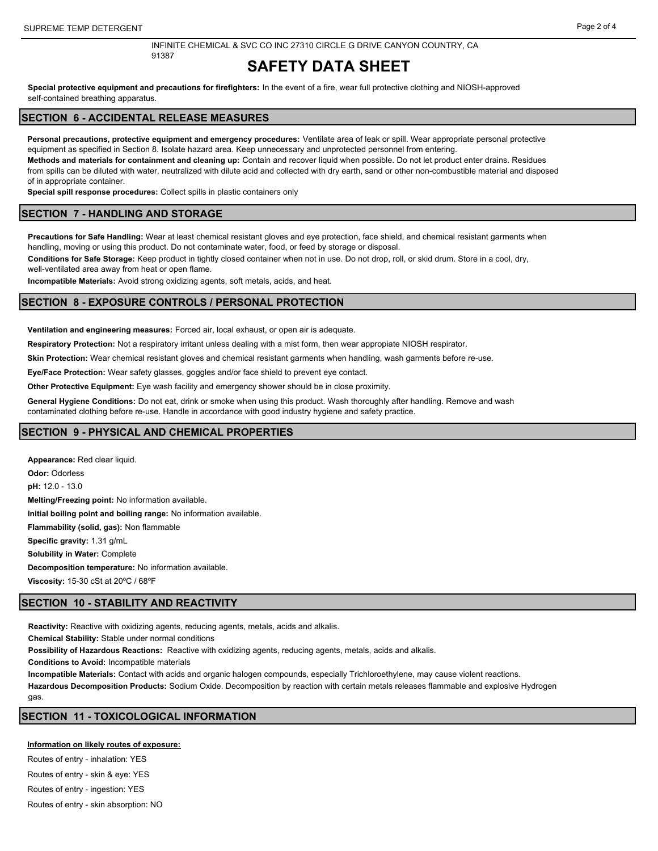# **SAFETY DATA SHEET**

**Special protective equipment and precautions for firefighters:** In the event of a fire, wear full protective clothing and NIOSH-approved self-contained breathing apparatus.

## **SECTION 6 - ACCIDENTAL RELEASE MEASURES**

91387

**Personal precautions, protective equipment and emergency procedures:** Ventilate area of leak or spill. Wear appropriate personal protective equipment as specified in Section 8. Isolate hazard area. Keep unnecessary and unprotected personnel from entering.

**Methods and materials for containment and cleaning up:** Contain and recover liquid when possible. Do not let product enter drains. Residues from spills can be diluted with water, neutralized with dilute acid and collected with dry earth, sand or other non-combustible material and disposed of in appropriate container.

**Special spill response procedures:** Collect spills in plastic containers only

#### **SECTION 7 - HANDLING AND STORAGE**

**Precautions for Safe Handling:** Wear at least chemical resistant gloves and eye protection, face shield, and chemical resistant garments when handling, moving or using this product. Do not contaminate water, food, or feed by storage or disposal.

**Conditions for Safe Storage:** Keep product in tightly closed container when not in use. Do not drop, roll, or skid drum. Store in a cool, dry,

well-ventilated area away from heat or open flame.

**Incompatible Materials:** Avoid strong oxidizing agents, soft metals, acids, and heat.

### **SECTION 8 - EXPOSURE CONTROLS / PERSONAL PROTECTION**

**Ventilation and engineering measures:** Forced air, local exhaust, or open air is adequate.

**Respiratory Protection:** Not a respiratory irritant unless dealing with a mist form, then wear appropiate NIOSH respirator.

**Skin Protection:** Wear chemical resistant gloves and chemical resistant garments when handling, wash garments before re-use.

**Eye/Face Protection:** Wear safety glasses, goggles and/or face shield to prevent eye contact.

**Other Protective Equipment:** Eye wash facility and emergency shower should be in close proximity.

**General Hygiene Conditions:** Do not eat, drink or smoke when using this product. Wash thoroughly after handling. Remove and wash

contaminated clothing before re-use. Handle in accordance with good industry hygiene and safety practice.

#### **SECTION 9 - PHYSICAL AND CHEMICAL PROPERTIES**

**Appearance:** Red clear liquid. **Odor:** Odorless **pH:** 12.0 - 13.0 **Melting/Freezing point:** No information available. **Initial boiling point and boiling range:** No information available. **Flammability (solid, gas):** Non flammable **Specific gravity:** 1.31 g/mL **Solubility in Water:** Complete **Decomposition temperature:** No information available. **Viscosity:** 15-30 cSt at 20ºC / 68ºF

## **SECTION 10 - STABILITY AND REACTIVITY**

**Reactivity:** Reactive with oxidizing agents, reducing agents, metals, acids and alkalis.

**Chemical Stability:** Stable under normal conditions

**Possibility of Hazardous Reactions:** Reactive with oxidizing agents, reducing agents, metals, acids and alkalis.

**Conditions to Avoid:** Incompatible materials

**Incompatible Materials:** Contact with acids and organic halogen compounds, especially Trichloroethylene, may cause violent reactions. **Hazardous Decomposition Products:** Sodium Oxide. Decomposition by reaction with certain metals releases flammable and explosive Hydrogen gas

## **SECTION 11 - TOXICOLOGICAL INFORMATION**

**Information on likely routes of exposure:**

Routes of entry - inhalation: YES Routes of entry - skin & eye: YES

Routes of entry - ingestion: YES

Routes of entry - skin absorption: NO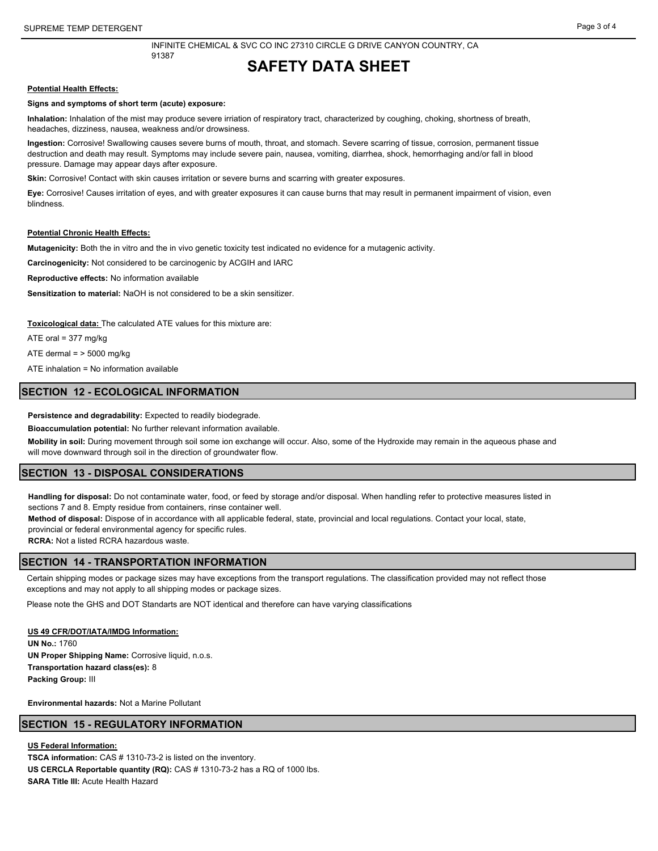## **SAFETY DATA SHEET**

#### **Potential Health Effects:**

#### **Signs and symptoms of short term (acute) exposure:**

**Inhalation:** Inhalation of the mist may produce severe irriation of respiratory tract, characterized by coughing, choking, shortness of breath, headaches, dizziness, nausea, weakness and/or drowsiness.

**Ingestion:** Corrosive! Swallowing causes severe burns of mouth, throat, and stomach. Severe scarring of tissue, corrosion, permanent tissue destruction and death may result. Symptoms may include severe pain, nausea, vomiting, diarrhea, shock, hemorrhaging and/or fall in blood pressure. Damage may appear days after exposure.

**Skin:** Corrosive! Contact with skin causes irritation or severe burns and scarring with greater exposures.

**Eye:** Corrosive! Causes irritation of eyes, and with greater exposures it can cause burns that may result in permanent impairment of vision, even blindness.

#### **Potential Chronic Health Effects:**

**Mutagenicity:** Both the in vitro and the in vivo genetic toxicity test indicated no evidence for a mutagenic activity.

**Carcinogenicity:** Not considered to be carcinogenic by ACGIH and IARC

**Reproductive effects:** No information available

**Sensitization to material:** NaOH is not considered to be a skin sensitizer.

**Toxicological data:** The calculated ATE values for this mixture are:

ATE oral = 377 mg/kg

ATE dermal  $=$  > 5000 mg/kg

ATE inhalation = No information available

#### **SECTION 12 - ECOLOGICAL INFORMATION**

**Persistence and degradability:** Expected to readily biodegrade.

**Bioaccumulation potential:** No further relevant information available.

**Mobility in soil:** During movement through soil some ion exchange will occur. Also, some of the Hydroxide may remain in the aqueous phase and will move downward through soil in the direction of groundwater flow.

#### **SECTION 13 - DISPOSAL CONSIDERATIONS**

**Handling for disposal:** Do not contaminate water, food, or feed by storage and/or disposal. When handling refer to protective measures listed in sections 7 and 8. Empty residue from containers, rinse container well.

**Method of disposal:** Dispose of in accordance with all applicable federal, state, provincial and local regulations. Contact your local, state, provincial or federal environmental agency for specific rules.

**RCRA:** Not a listed RCRA hazardous waste.

#### **SECTION 14 - TRANSPORTATION INFORMATION**

Certain shipping modes or package sizes may have exceptions from the transport regulations. The classification provided may not reflect those exceptions and may not apply to all shipping modes or package sizes.

Please note the GHS and DOT Standarts are NOT identical and therefore can have varying classifications

**US 49 CFR/DOT/IATA/IMDG Information: UN No.:** 1760 **UN Proper Shipping Name:** Corrosive liquid, n.o.s. **Transportation hazard class(es):** 8 **Packing Group:** III

**Environmental hazards:** Not a Marine Pollutant

#### **SECTION 15 - REGULATORY INFORMATION**

**US Federal Information:**

**TSCA information:** CAS # 1310-73-2 is listed on the inventory. **US CERCLA Reportable quantity (RQ):** CAS # 1310-73-2 has a RQ of 1000 lbs. **SARA Title III:** Acute Health Hazard